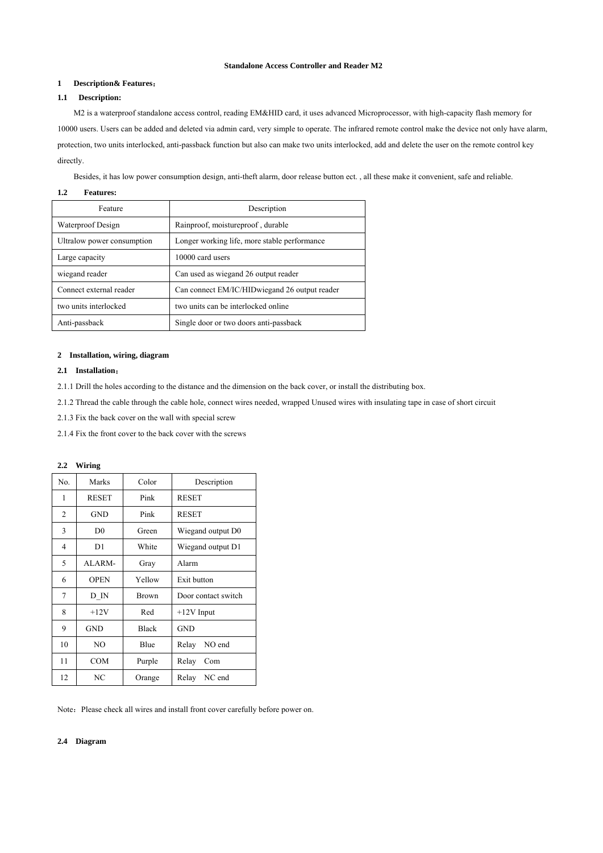## **Standalone Access Controller and Reader M2**

# **1 Description& Features**:

## **1.1 Description:**

M2 is a waterproof standalone access control, reading EM&HID card, it uses advanced Microprocessor, with high-capacity flash memory for 10000 users. Users can be added and deleted via admin card, very simple to operate. The infrared remote control make the device not only have alarm, protection, two units interlocked, anti-passback function but also can make two units interlocked, add and delete the user on the remote control key directly.

Besides, it has low power consumption design, anti-theft alarm, door release button ect. , all these make it convenient, safe and reliable.

### **1.2 Features:**

| Feature                    | Description                                   |  |
|----------------------------|-----------------------------------------------|--|
| Waterproof Design          | Rainproof, moistureproof, durable             |  |
| Ultralow power consumption | Longer working life, more stable performance  |  |
| Large capacity             | 10000 card users                              |  |
| wiegand reader             | Can used as wiegand 26 output reader          |  |
| Connect external reader    | Can connect EM/IC/HIDwiegand 26 output reader |  |
| two units interlocked      | two units can be interlocked online           |  |
| Anti-passback              | Single door or two doors anti-passback        |  |

### **2 Installation, wiring, diagram**

## **2.1 Installation**:

2.1.1 Drill the holes according to the distance and the dimension on the back cover, or install the distributing box.

2.1.2 Thread the cable through the cable hole, connect wires needed, wrapped Unused wires with insulating tape in case of short circuit

2.1.3 Fix the back cover on the wall with special screw

2.1.4 Fix the front cover to the back cover with the screws

### **2.2 Wiring**

| No. | Marks          | Color        | Description         |  |
|-----|----------------|--------------|---------------------|--|
| 1   | <b>RESET</b>   | Pink         | <b>RESET</b>        |  |
| 2   | <b>GND</b>     | Pink         | <b>RESET</b>        |  |
| 3   | D <sub>0</sub> | Green        | Wiegand output D0   |  |
| 4   | D1             | White        | Wiegand output D1   |  |
| 5   | ALARM-         | Gray         | Alarm               |  |
| 6   | <b>OPEN</b>    | Yellow       | Exit button         |  |
| 7   | D IN           | <b>Brown</b> | Door contact switch |  |
| 8   | $+12V$         | Red          | $+12V$ Input        |  |
| 9   | GND            | <b>Black</b> | GND                 |  |
| 10  | NO.            | Blue         | Relay<br>NO end     |  |
| 11  | COM            | Purple       | Relay<br>Com        |  |
| 12  | NC             | Orange       | Relay<br>NC end     |  |

Note: Please check all wires and install front cover carefully before power on.

### **2.4 Diagram**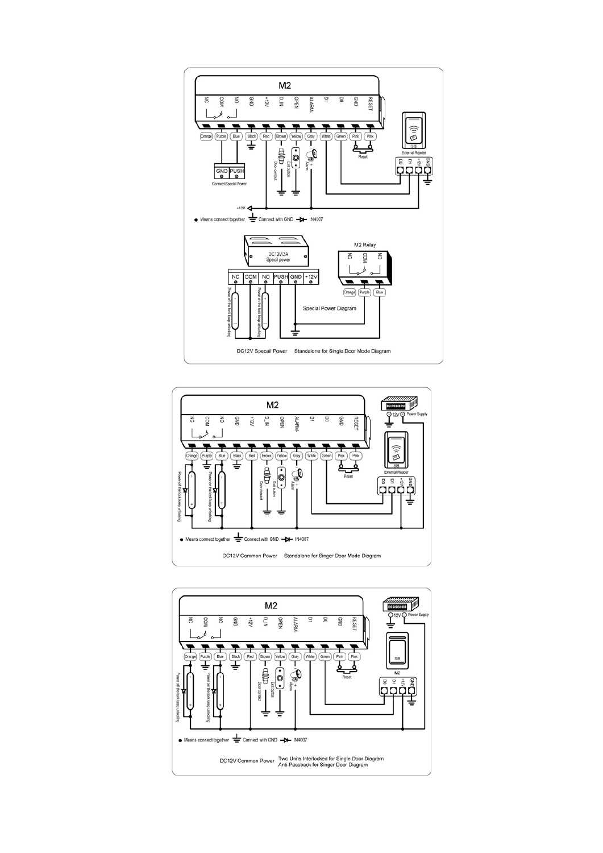



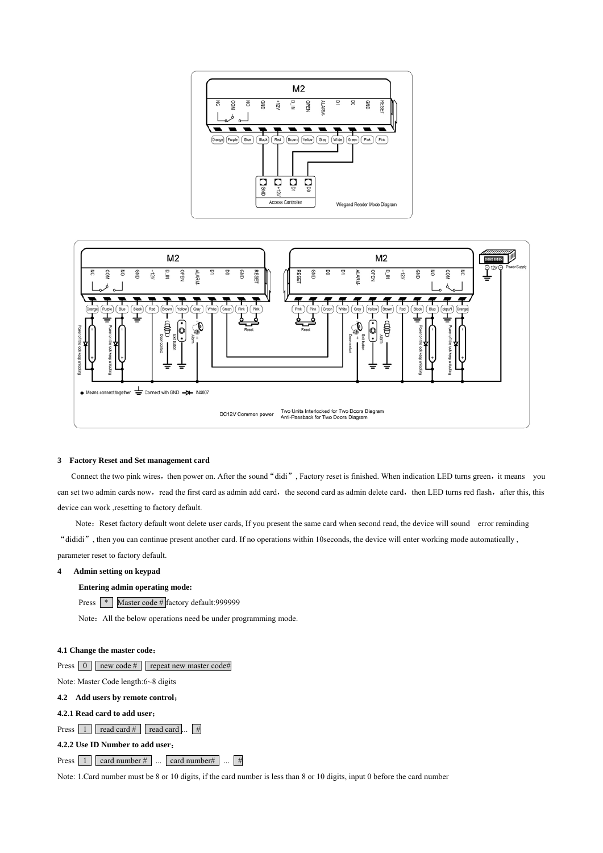



### **3 Factory Reset and Set management card**

Connect the two pink wires, then power on. After the sound "didi", Factory reset is finished. When indication LED turns green, it means you can set two admin cards now, read the first card as admin add card, the second card as admin delete card, then LED turns red flash, after this, this device can work ,resetting to factory default.

Note: Reset factory default wont delete user cards, If you present the same card when second read, the device will sound error reminding "dididi", then you can continue present another card. If no operations within 10seconds, the device will enter working mode automatically , parameter reset to factory default.

## **4 Admin setting on keypad**

## **Entering admin operating mode:**

Press **\*** Master code # factory default:999999

Note: All the below operations need be under programming mode.

## **4.1 Change the master code**:

|  |  |  | Press $\begin{bmatrix} 0 \\ \end{bmatrix}$ new code # $\begin{bmatrix} \end{bmatrix}$ repeat new master code# |
|--|--|--|---------------------------------------------------------------------------------------------------------------|
|--|--|--|---------------------------------------------------------------------------------------------------------------|

Note: Master Code length:6~8 digits

## **4.2 Add users by remote control**:

## **4.2.1 Read card to add user**:

Press  $\boxed{1}$  read card  $\#$  read card ...  $\boxed{\#}$ 

**4.2.2 Use ID Number to add user**:

# Press  $\boxed{1}$  card number # ... card number # ...  $\boxed{4}$

Note: 1.Card number must be 8 or 10 digits, if the card number is less than 8 or 10 digits, input 0 before the card number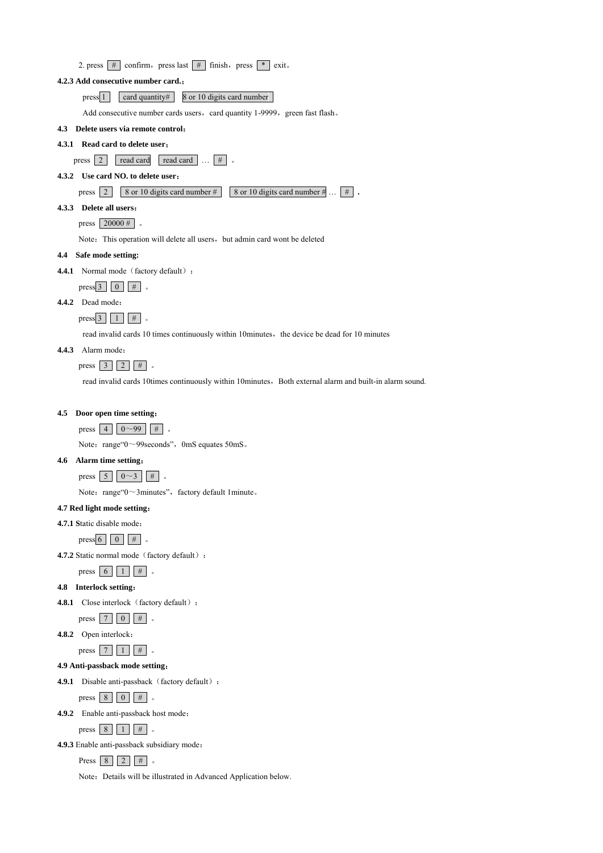|     | 4.2.3 Add consecutive number card.:                                                                     |
|-----|---------------------------------------------------------------------------------------------------------|
|     | card quantity#<br>8 or 10 digits card number<br>press 1                                                 |
|     | Add consecutive number cards users, card quantity 1-9999, green fast flash.                             |
|     | 4.3 Delete users via remote control:                                                                    |
|     | 4.3.1 Read card to delete user:                                                                         |
|     | read card<br>read card<br>2 <sup>1</sup><br>$#$  <br>press                                              |
|     | 4.3.2 Use card NO. to delete user:                                                                      |
|     | 8 or 10 digits card number #<br>8 or 10 digits card number #<br>pres <sub>1</sub> 2<br>$#$ .            |
|     | 4.3.3 Delete all users:                                                                                 |
|     | $20000 \#$<br>press                                                                                     |
|     | Note: This operation will delete all users, but admin card wont be deleted                              |
|     | 4.4 Safe mode setting:                                                                                  |
|     | 4.4.1 Normal mode (factory default) :                                                                   |
|     | #<br>press <sub>3</sub><br>$\theta$<br>$^{\circ}$                                                       |
|     | 4.4.2 Dead mode:                                                                                        |
|     | press $3 \mid 1 \mid$<br>#                                                                              |
|     | read invalid cards 10 times continuously within 10minutes, the device be dead for 10 minutes            |
|     | 4.4.3 Alarm mode:                                                                                       |
|     | #<br>press 3<br>2 <sup>1</sup>                                                                          |
|     | read invalid cards 10times continuously within 10minutes. Both external alarm and built-in alarm sound. |
|     |                                                                                                         |
| 4.5 | Door open time setting:                                                                                 |
|     | $0 - 99$<br>$press \mid 4$<br>#                                                                         |
|     | Note: range"0~99seconds", 0mS equates 50mS.                                                             |
| 4.6 | Alarm time setting:                                                                                     |
|     | press $\overline{5}$<br>$0 \sim 3$<br>#                                                                 |
|     | Note: range"0~3minutes", factory default 1minute.                                                       |
|     | 4.7 Red light mode setting:                                                                             |
|     | 4.7.1 Static disable mode:                                                                              |
|     | #<br>press 6<br>$\vert 0 \vert$                                                                         |
|     | 4.7.2 Static normal mode (factory default) :                                                            |
|     | #<br>press $\boxed{6}$<br>1                                                                             |
|     | 4.8 Interlock setting:                                                                                  |
|     | 4.8.1 Close interlock (factory default) :                                                               |
|     | #<br>$7\phantom{.0}$<br>press<br>$\vert 0 \vert$<br>$\circ$                                             |
|     | 4.8.2 Open interlock:                                                                                   |
|     | #<br>pres <sub>1</sub> 7<br>$\mathbf{1}$                                                                |
|     | 4.9 Anti-passback mode setting:                                                                         |
|     | 4.9.1 Disable anti-passback (factory default) :                                                         |
|     | $pres8$ 8<br>$#$  <br>$\vert 0 \vert$                                                                   |
|     | 4.9.2 Enable anti-passback host mode:                                                                   |
|     | #<br>8<br>press                                                                                         |
|     | 4.9.3 Enable anti-passback subsidiary mode:                                                             |
|     | #<br>Press 8<br>2 <sup>1</sup>                                                                          |

Note: Details will be illustrated in Advanced Application below.

2. press  $\#$  confirm, press last  $\#$  finish, press  $*$  exit.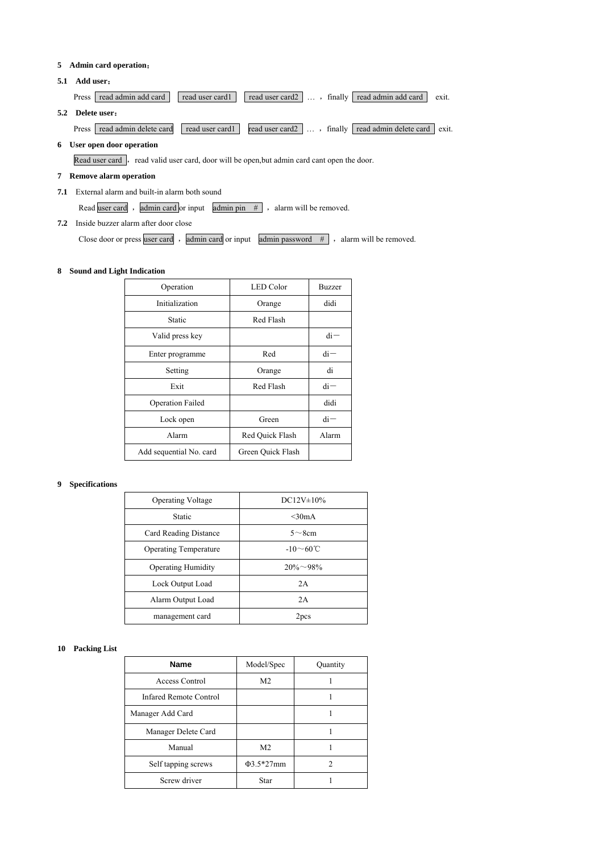## **5 Admin card operation**:

**5.1 Add user**:

Press read admin add card read user card1 read user card2 ..., finally read admin add card exit. **5.2 Delete user**: Press read admin delete card read user card1 read user card2 ..., finally read admin delete card exit.

## **6 User open door operation**

Read user card, read valid user card, door will be open,but admin card cant open the door.

# **7 Remove alarm operation**

**7.1** External alarm and built-in alarm both sound

Read user card , admin card or input admin pin  $#$  , alarm will be removed.

# **7.2** Inside buzzer alarm after door close

Close door or press user card, admin card or input admin password  $#$ , alarm will be removed.

## **8 Sound and Light Indication**

| Operation               | <b>LED</b> Color  | <b>Buzzer</b> |
|-------------------------|-------------------|---------------|
| Initialization          | Orange            | didi          |
| Static                  | Red Flash         |               |
| Valid press key         |                   | $di -$        |
| Enter programme         | Red               | $di -$        |
| Setting                 | Orange            | di            |
| Exit                    | Red Flash         | $di -$        |
| <b>Operation Failed</b> |                   | didi          |
| Lock open               | Green             | $di -$        |
| Alarm                   | Red Ouick Flash   | Alarm         |
| Add sequential No. card | Green Quick Flash |               |

## **9 Specifications**

| <b>Operating Voltage</b>     | $DC12V \pm 10\%$      |
|------------------------------|-----------------------|
| Static                       | $<$ 30mA              |
| Card Reading Distance        | $5 \sim 8$ cm         |
| <b>Operating Temperature</b> | $-10\sim60^{\circ}$ C |
| <b>Operating Humidity</b>    | $20\% \sim 98\%$      |
| Lock Output Load             | 2A                    |
| Alarm Output Load            | 2A                    |
| management card              | 2pcs                  |

## **10 Packing List**

| <b>Name</b>                   | Model/Spec      | Quantity |
|-------------------------------|-----------------|----------|
| Access Control                | M <sub>2</sub>  |          |
| <b>Infared Remote Control</b> |                 |          |
| Manager Add Card              |                 |          |
| Manager Delete Card           |                 |          |
| Manual                        | M <sub>2</sub>  |          |
| Self tapping screws           | $\Phi$ 3.5*27mm | 2        |
| Screw driver                  | Star            |          |